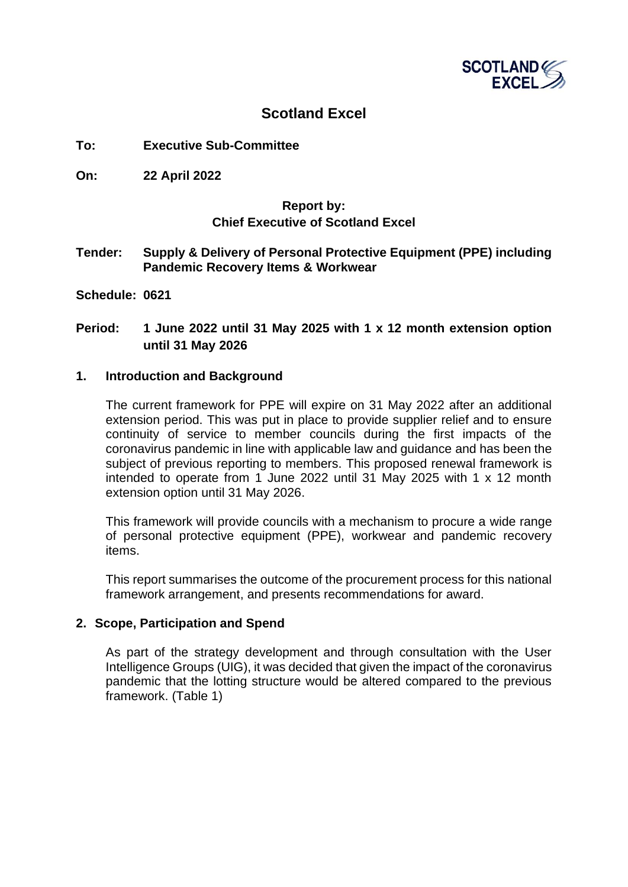

# **Scotland Excel**

- **To: Executive Sub-Committee**
- **On: 22 April 2022**

### **Report by: Chief Executive of Scotland Excel**

#### **Tender: Supply & Delivery of Personal Protective Equipment (PPE) including Pandemic Recovery Items & Workwear**

**Schedule: 0621**

## **Period: 1 June 2022 until 31 May 2025 with 1 x 12 month extension option until 31 May 2026**

#### **1. Introduction and Background**

The current framework for PPE will expire on 31 May 2022 after an additional extension period. This was put in place to provide supplier relief and to ensure continuity of service to member councils during the first impacts of the coronavirus pandemic in line with applicable law and guidance and has been the subject of previous reporting to members. This proposed renewal framework is intended to operate from 1 June 2022 until 31 May 2025 with 1 x 12 month extension option until 31 May 2026.

This framework will provide councils with a mechanism to procure a wide range of personal protective equipment (PPE), workwear and pandemic recovery items.

This report summarises the outcome of the procurement process for this national framework arrangement, and presents recommendations for award.

### **2. Scope, Participation and Spend**

As part of the strategy development and through consultation with the User Intelligence Groups (UIG), it was decided that given the impact of the coronavirus pandemic that the lotting structure would be altered compared to the previous framework. (Table 1)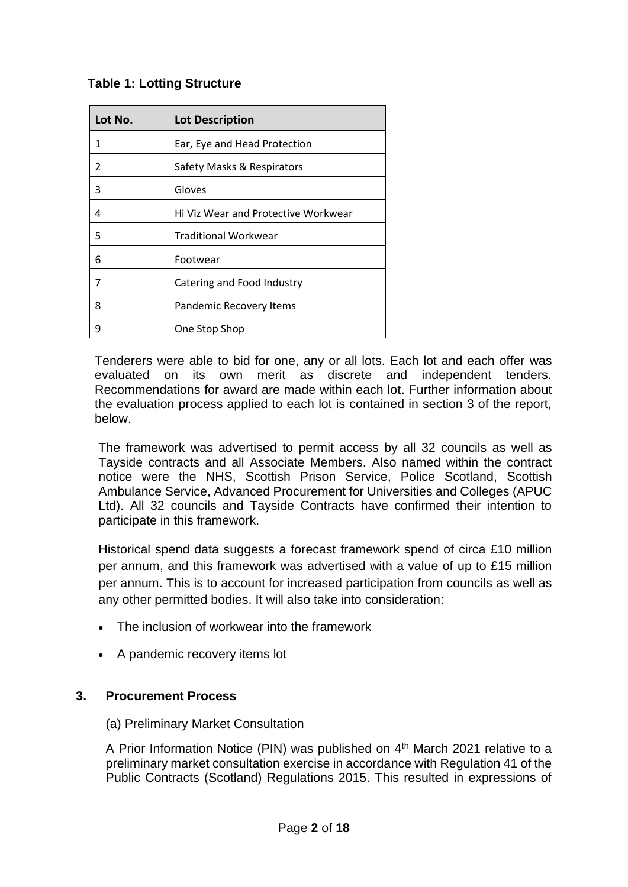# **Table 1: Lotting Structure**

| Lot No.        | <b>Lot Description</b>              |
|----------------|-------------------------------------|
| 1              | Ear, Eye and Head Protection        |
| $\mathfrak{p}$ | Safety Masks & Respirators          |
| 3              | Gloves                              |
| 4              | Hi Viz Wear and Protective Workwear |
| 5              | <b>Traditional Workwear</b>         |
| 6              | Footwear                            |
| 7              | Catering and Food Industry          |
| 8              | Pandemic Recovery Items             |
| q              | One Stop Shop                       |

Tenderers were able to bid for one, any or all lots. Each lot and each offer was evaluated on its own merit as discrete and independent tenders. Recommendations for award are made within each lot. Further information about the evaluation process applied to each lot is contained in section 3 of the report, below.

The framework was advertised to permit access by all 32 councils as well as Tayside contracts and all Associate Members. Also named within the contract notice were the NHS, Scottish Prison Service, Police Scotland, Scottish Ambulance Service, Advanced Procurement for Universities and Colleges (APUC Ltd). All 32 councils and Tayside Contracts have confirmed their intention to participate in this framework.

Historical spend data suggests a forecast framework spend of circa £10 million per annum, and this framework was advertised with a value of up to £15 million per annum. This is to account for increased participation from councils as well as any other permitted bodies. It will also take into consideration:

- The inclusion of workwear into the framework
- A pandemic recovery items lot

## **3. Procurement Process**

(a) Preliminary Market Consultation

A Prior Information Notice (PIN) was published on 4<sup>th</sup> March 2021 relative to a preliminary market consultation exercise in accordance with Regulation 41 of the Public Contracts (Scotland) Regulations 2015. This resulted in expressions of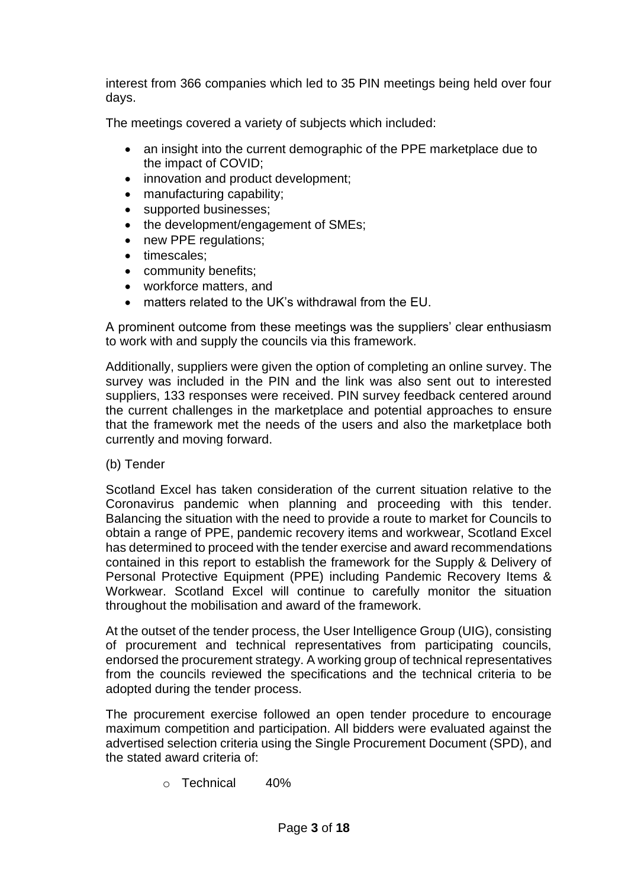interest from 366 companies which led to 35 PIN meetings being held over four days.

The meetings covered a variety of subjects which included:

- an insight into the current demographic of the PPE marketplace due to the impact of COVID;
- innovation and product development;
- manufacturing capability;
- supported businesses;
- the development/engagement of SMEs;
- new PPE regulations;
- timescales;
- community benefits;
- workforce matters, and
- matters related to the UK's withdrawal from the EU.

A prominent outcome from these meetings was the suppliers' clear enthusiasm to work with and supply the councils via this framework.

Additionally, suppliers were given the option of completing an online survey. The survey was included in the PIN and the link was also sent out to interested suppliers, 133 responses were received. PIN survey feedback centered around the current challenges in the marketplace and potential approaches to ensure that the framework met the needs of the users and also the marketplace both currently and moving forward.

(b) Tender

Scotland Excel has taken consideration of the current situation relative to the Coronavirus pandemic when planning and proceeding with this tender. Balancing the situation with the need to provide a route to market for Councils to obtain a range of PPE, pandemic recovery items and workwear, Scotland Excel has determined to proceed with the tender exercise and award recommendations contained in this report to establish the framework for the Supply & Delivery of Personal Protective Equipment (PPE) including Pandemic Recovery Items & Workwear. Scotland Excel will continue to carefully monitor the situation throughout the mobilisation and award of the framework.

At the outset of the tender process, the User Intelligence Group (UIG), consisting of procurement and technical representatives from participating councils, endorsed the procurement strategy. A working group of technical representatives from the councils reviewed the specifications and the technical criteria to be adopted during the tender process.

The procurement exercise followed an open tender procedure to encourage maximum competition and participation. All bidders were evaluated against the advertised selection criteria using the Single Procurement Document (SPD), and the stated award criteria of:

o Technical 40%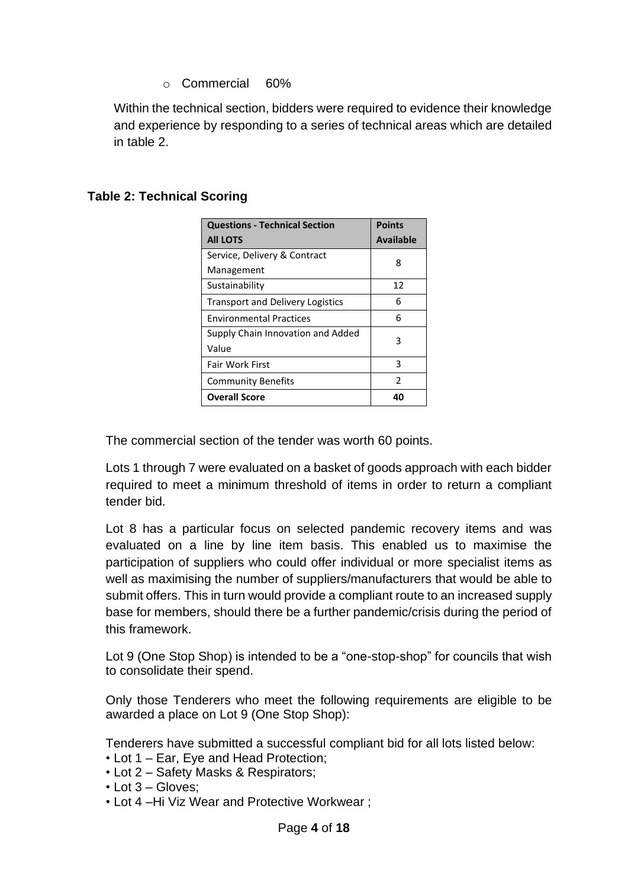# o Commercial 60%

Within the technical section, bidders were required to evidence their knowledge and experience by responding to a series of technical areas which are detailed in table 2.

| <b>Questions - Technical Section</b>    | <b>Points</b>    |
|-----------------------------------------|------------------|
| <b>All LOTS</b>                         | <b>Available</b> |
| Service, Delivery & Contract            | 8                |
| Management                              |                  |
| Sustainability                          | 12               |
| <b>Transport and Delivery Logistics</b> | 6                |
| <b>Environmental Practices</b>          | 6                |
| Supply Chain Innovation and Added       | 3                |
| Value                                   |                  |
| <b>Fair Work First</b>                  | 3                |
| <b>Community Benefits</b>               | $\mathfrak z$    |
| <b>Overall Score</b>                    |                  |

# **Table 2: Technical Scoring**

The commercial section of the tender was worth 60 points.

Lots 1 through 7 were evaluated on a basket of goods approach with each bidder required to meet a minimum threshold of items in order to return a compliant tender bid.

Lot 8 has a particular focus on selected pandemic recovery items and was evaluated on a line by line item basis. This enabled us to maximise the participation of suppliers who could offer individual or more specialist items as well as maximising the number of suppliers/manufacturers that would be able to submit offers. This in turn would provide a compliant route to an increased supply base for members, should there be a further pandemic/crisis during the period of this framework.

Lot 9 (One Stop Shop) is intended to be a "one-stop-shop" for councils that wish to consolidate their spend.

Only those Tenderers who meet the following requirements are eligible to be awarded a place on Lot 9 (One Stop Shop):

Tenderers have submitted a successful compliant bid for all lots listed below:

- Lot 1 Ear, Eye and Head Protection;
- Lot 2 Safety Masks & Respirators;
- Lot 3 Gloves;
- Lot 4 –Hi Viz Wear and Protective Workwear ;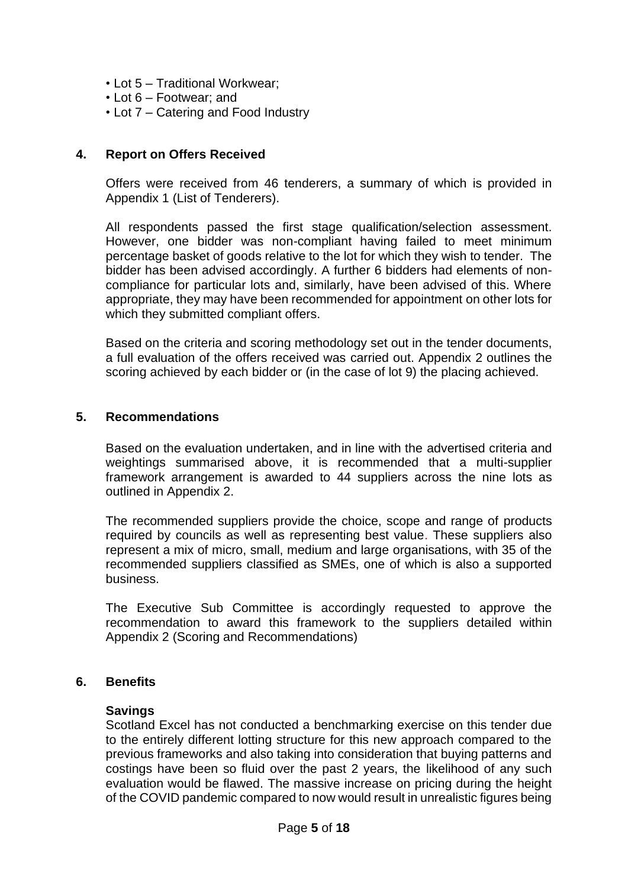- Lot 5 Traditional Workwear;
- Lot 6 Footwear; and
- Lot 7 Catering and Food Industry

### **4. Report on Offers Received**

Offers were received from 46 tenderers, a summary of which is provided in Appendix 1 (List of Tenderers).

All respondents passed the first stage qualification/selection assessment. However, one bidder was non-compliant having failed to meet minimum percentage basket of goods relative to the lot for which they wish to tender. The bidder has been advised accordingly. A further 6 bidders had elements of noncompliance for particular lots and, similarly, have been advised of this. Where appropriate, they may have been recommended for appointment on other lots for which they submitted compliant offers.

Based on the criteria and scoring methodology set out in the tender documents, a full evaluation of the offers received was carried out. Appendix 2 outlines the scoring achieved by each bidder or (in the case of lot 9) the placing achieved.

### **5. Recommendations**

Based on the evaluation undertaken, and in line with the advertised criteria and weightings summarised above, it is recommended that a multi-supplier framework arrangement is awarded to 44 suppliers across the nine lots as outlined in Appendix 2.

The recommended suppliers provide the choice, scope and range of products required by councils as well as representing best value. These suppliers also represent a mix of micro, small, medium and large organisations, with 35 of the recommended suppliers classified as SMEs, one of which is also a supported business.

The Executive Sub Committee is accordingly requested to approve the recommendation to award this framework to the suppliers detailed within Appendix 2 (Scoring and Recommendations)

### **6. Benefits**

#### **Savings**

Scotland Excel has not conducted a benchmarking exercise on this tender due to the entirely different lotting structure for this new approach compared to the previous frameworks and also taking into consideration that buying patterns and costings have been so fluid over the past 2 years, the likelihood of any such evaluation would be flawed. The massive increase on pricing during the height of the COVID pandemic compared to now would result in unrealistic figures being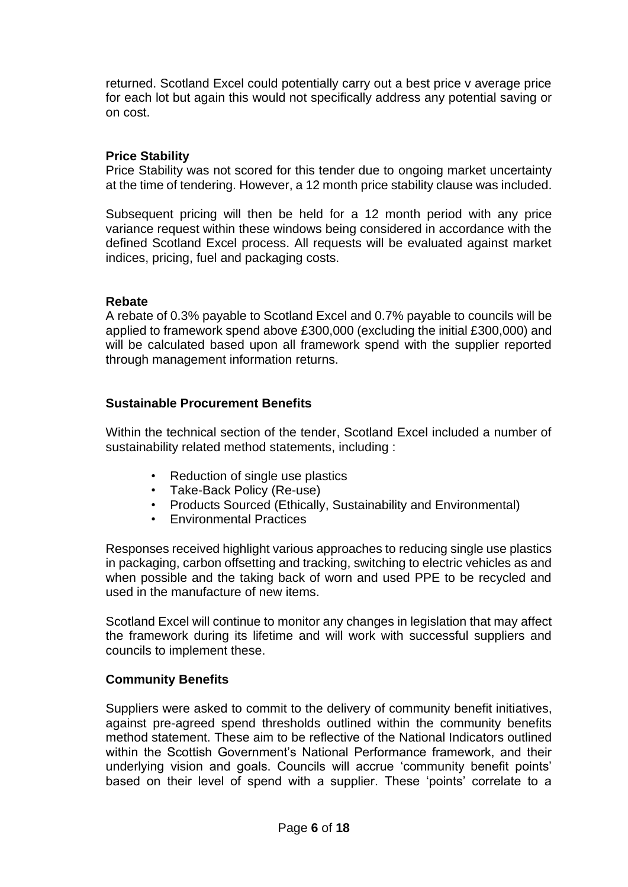returned. Scotland Excel could potentially carry out a best price v average price for each lot but again this would not specifically address any potential saving or on cost.

### **Price Stability**

Price Stability was not scored for this tender due to ongoing market uncertainty at the time of tendering. However, a 12 month price stability clause was included.

Subsequent pricing will then be held for a 12 month period with any price variance request within these windows being considered in accordance with the defined Scotland Excel process. All requests will be evaluated against market indices, pricing, fuel and packaging costs.

### **Rebate**

A rebate of 0.3% payable to Scotland Excel and 0.7% payable to councils will be applied to framework spend above £300,000 (excluding the initial £300,000) and will be calculated based upon all framework spend with the supplier reported through management information returns.

### **Sustainable Procurement Benefits**

Within the technical section of the tender, Scotland Excel included a number of sustainability related method statements, including :

- Reduction of single use plastics
- Take-Back Policy (Re-use)
- Products Sourced (Ethically, Sustainability and Environmental)
- Environmental Practices

Responses received highlight various approaches to reducing single use plastics in packaging, carbon offsetting and tracking, switching to electric vehicles as and when possible and the taking back of worn and used PPE to be recycled and used in the manufacture of new items.

Scotland Excel will continue to monitor any changes in legislation that may affect the framework during its lifetime and will work with successful suppliers and councils to implement these.

### **Community Benefits**

Suppliers were asked to commit to the delivery of community benefit initiatives, against pre-agreed spend thresholds outlined within the community benefits method statement. These aim to be reflective of the National Indicators outlined within the Scottish Government's National Performance framework, and their underlying vision and goals. Councils will accrue 'community benefit points' based on their level of spend with a supplier. These 'points' correlate to a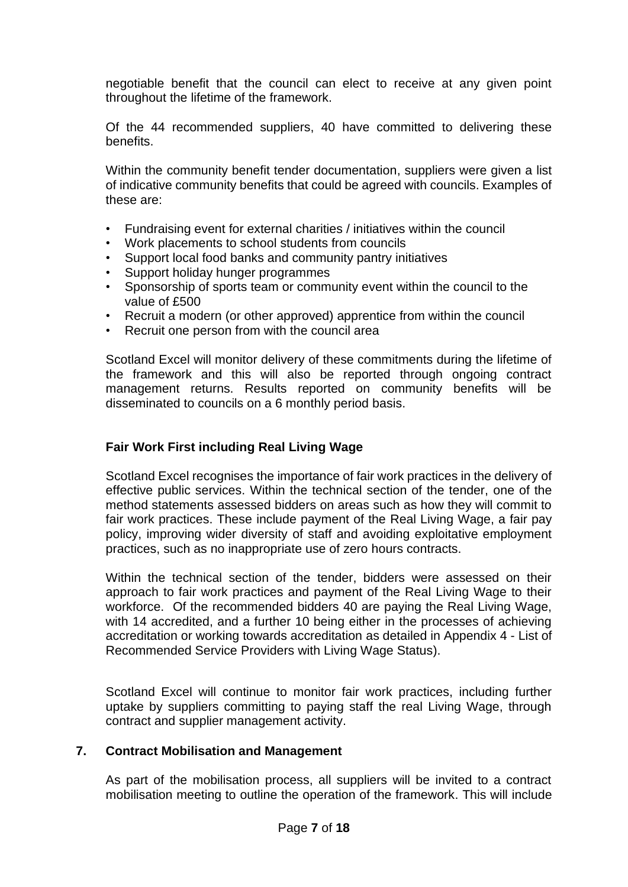negotiable benefit that the council can elect to receive at any given point throughout the lifetime of the framework.

Of the 44 recommended suppliers, 40 have committed to delivering these benefits.

Within the community benefit tender documentation, suppliers were given a list of indicative community benefits that could be agreed with councils. Examples of these are:

- Fundraising event for external charities / initiatives within the council
- Work placements to school students from councils
- Support local food banks and community pantry initiatives
- Support holiday hunger programmes
- Sponsorship of sports team or community event within the council to the value of £500
- Recruit a modern (or other approved) apprentice from within the council
- Recruit one person from with the council area

Scotland Excel will monitor delivery of these commitments during the lifetime of the framework and this will also be reported through ongoing contract management returns. Results reported on community benefits will be disseminated to councils on a 6 monthly period basis.

## **Fair Work First including Real Living Wage**

Scotland Excel recognises the importance of fair work practices in the delivery of effective public services. Within the technical section of the tender, one of the method statements assessed bidders on areas such as how they will commit to fair work practices. These include payment of the Real Living Wage, a fair pay policy, improving wider diversity of staff and avoiding exploitative employment practices, such as no inappropriate use of zero hours contracts.

Within the technical section of the tender, bidders were assessed on their approach to fair work practices and payment of the Real Living Wage to their workforce. Of the recommended bidders 40 are paying the Real Living Wage, with 14 accredited, and a further 10 being either in the processes of achieving accreditation or working towards accreditation as detailed in Appendix 4 - List of Recommended Service Providers with Living Wage Status).

Scotland Excel will continue to monitor fair work practices, including further uptake by suppliers committing to paying staff the real Living Wage, through contract and supplier management activity.

### **7. Contract Mobilisation and Management**

As part of the mobilisation process, all suppliers will be invited to a contract mobilisation meeting to outline the operation of the framework. This will include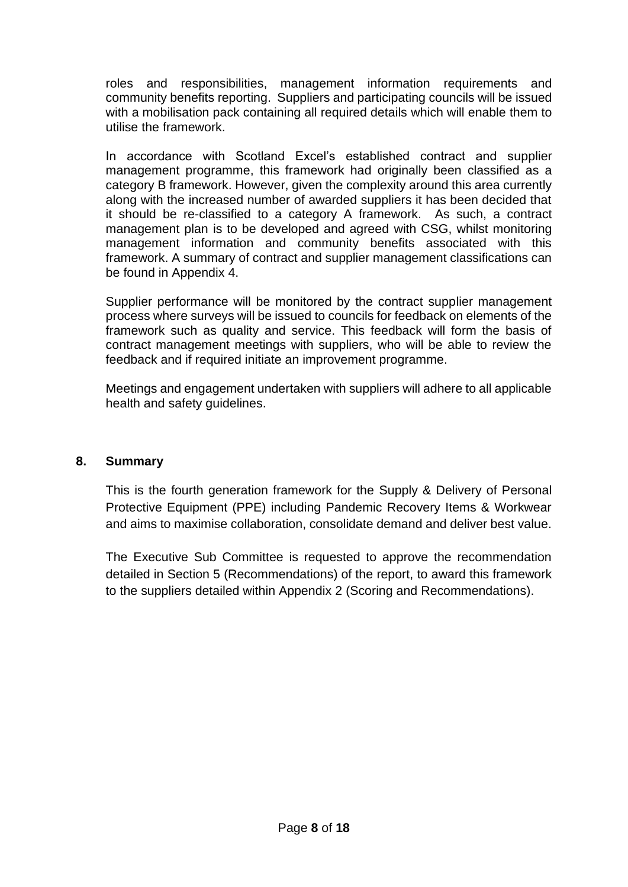roles and responsibilities, management information requirements and community benefits reporting. Suppliers and participating councils will be issued with a mobilisation pack containing all required details which will enable them to utilise the framework.

In accordance with Scotland Excel's established contract and supplier management programme, this framework had originally been classified as a category B framework. However, given the complexity around this area currently along with the increased number of awarded suppliers it has been decided that it should be re-classified to a category A framework. As such, a contract management plan is to be developed and agreed with CSG, whilst monitoring management information and community benefits associated with this framework. A summary of contract and supplier management classifications can be found in Appendix 4.

Supplier performance will be monitored by the contract supplier management process where surveys will be issued to councils for feedback on elements of the framework such as quality and service. This feedback will form the basis of contract management meetings with suppliers, who will be able to review the feedback and if required initiate an improvement programme.

Meetings and engagement undertaken with suppliers will adhere to all applicable health and safety guidelines.

### **8. Summary**

This is the fourth generation framework for the Supply & Delivery of Personal Protective Equipment (PPE) including Pandemic Recovery Items & Workwear and aims to maximise collaboration, consolidate demand and deliver best value.

The Executive Sub Committee is requested to approve the recommendation detailed in Section 5 (Recommendations) of the report, to award this framework to the suppliers detailed within Appendix 2 (Scoring and Recommendations).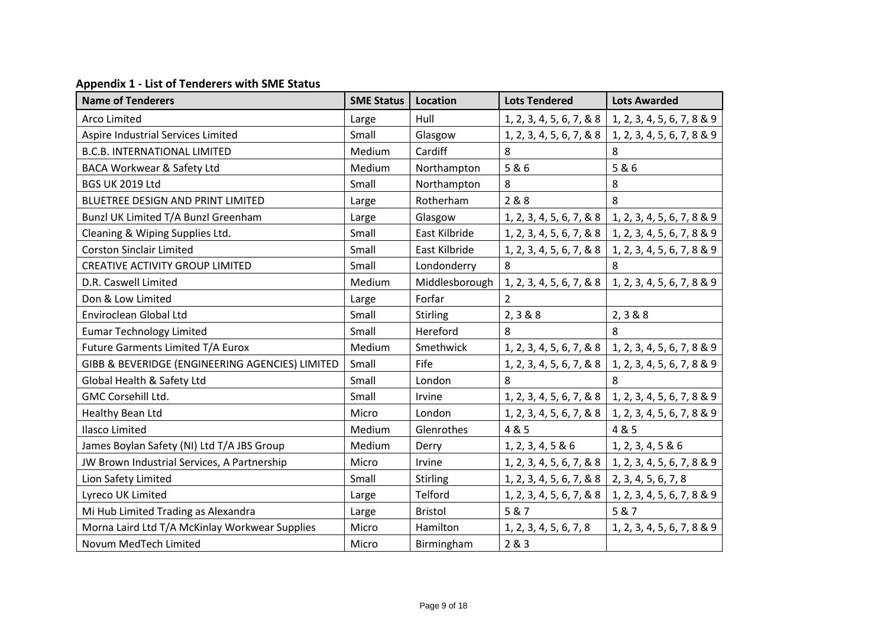| <b>Name of Tenderers</b>                        | <b>SME Status</b> | Location        | <b>Lots Tendered</b>      | <b>Lots Awarded</b>        |
|-------------------------------------------------|-------------------|-----------------|---------------------------|----------------------------|
| <b>Arco Limited</b>                             | Large             | Hull            | 1, 2, 3, 4, 5, 6, 7, & 8  | 1, 2, 3, 4, 5, 6, 7, 8 & 9 |
| Aspire Industrial Services Limited              | Small             | Glasgow         | 1, 2, 3, 4, 5, 6, 7, & 8  | 1, 2, 3, 4, 5, 6, 7, 8 & 9 |
| <b>B.C.B. INTERNATIONAL LIMITED</b>             | Medium            | Cardiff         | 8                         | 8                          |
| BACA Workwear & Safety Ltd                      | Medium            | Northampton     | 5&6                       | 5&6                        |
| <b>BGS UK 2019 Ltd</b>                          | Small             | Northampton     | 8                         | 8                          |
| BLUETREE DESIGN AND PRINT LIMITED               | Large             | Rotherham       | 2 & 8                     | 8                          |
| Bunzl UK Limited T/A Bunzl Greenham             | Large             | Glasgow         | 1, 2, 3, 4, 5, 6, 7, & 8  | 1, 2, 3, 4, 5, 6, 7, 8 & 9 |
| Cleaning & Wiping Supplies Ltd.                 | Small             | East Kilbride   | 1, 2, 3, 4, 5, 6, 7, & 8  | 1, 2, 3, 4, 5, 6, 7, 8 & 9 |
| <b>Corston Sinclair Limited</b>                 | Small             | East Kilbride   | 1, 2, 3, 4, 5, 6, 7, & 8  | 1, 2, 3, 4, 5, 6, 7, 8 & 9 |
| <b>CREATIVE ACTIVITY GROUP LIMITED</b>          | Small             | Londonderry     | 8                         | 8                          |
| D.R. Caswell Limited                            | Medium            | Middlesborough  | 1, 2, 3, 4, 5, 6, 7, & 8  | 1, 2, 3, 4, 5, 6, 7, 8 & 9 |
| Don & Low Limited                               | Large             | Forfar          | $\overline{2}$            |                            |
| Enviroclean Global Ltd                          | Small             | <b>Stirling</b> | 2, 3 & 8 & 8              | 2, 3 & 8 & 8               |
| <b>Eumar Technology Limited</b>                 | Small             | Hereford        | 8                         | 8                          |
| Future Garments Limited T/A Eurox               | Medium            | Smethwick       | 1, 2, 3, 4, 5, 6, 7, & 8  | 1, 2, 3, 4, 5, 6, 7, 8 & 9 |
| GIBB & BEVERIDGE (ENGINEERING AGENCIES) LIMITED | Small             | Fife            | 1, 2, 3, 4, 5, 6, 7, & 8  | 1, 2, 3, 4, 5, 6, 7, 8 & 9 |
| Global Health & Safety Ltd                      | Small             | London          | 8                         |                            |
| GMC Corsehill Ltd.                              | Small             | Irvine          | 1, 2, 3, 4, 5, 6, 7, 8, 8 | 1, 2, 3, 4, 5, 6, 7, 8 & 9 |
| Healthy Bean Ltd                                | Micro             | London          | 1, 2, 3, 4, 5, 6, 7, & 8  | 1, 2, 3, 4, 5, 6, 7, 8 & 9 |
| Ilasco Limited                                  | Medium            | Glenrothes      | 4 & 5                     | 4 & 5                      |
| James Boylan Safety (NI) Ltd T/A JBS Group      | Medium            | Derry           | 1, 2, 3, 4, 5 & 6         | 1, 2, 3, 4, 5 & 6          |
| JW Brown Industrial Services, A Partnership     | Micro             | Irvine          | 1, 2, 3, 4, 5, 6, 7, & 8  | 1, 2, 3, 4, 5, 6, 7, 8 & 9 |
| Lion Safety Limited                             | Small             | <b>Stirling</b> | 1, 2, 3, 4, 5, 6, 7, & 8  | 2, 3, 4, 5, 6, 7, 8        |
| Lyreco UK Limited                               | Large             | Telford         | 1, 2, 3, 4, 5, 6, 7, & 8  | 1, 2, 3, 4, 5, 6, 7, 8 & 9 |
| Mi Hub Limited Trading as Alexandra             | Large             | <b>Bristol</b>  | 5 & 7                     | 5 & 7                      |
| Morna Laird Ltd T/A McKinlay Workwear Supplies  | Micro             | Hamilton        | 1, 2, 3, 4, 5, 6, 7, 8    | 1, 2, 3, 4, 5, 6, 7, 8 & 9 |
| Novum MedTech Limited                           | Micro             | Birmingham      | 2&3                       |                            |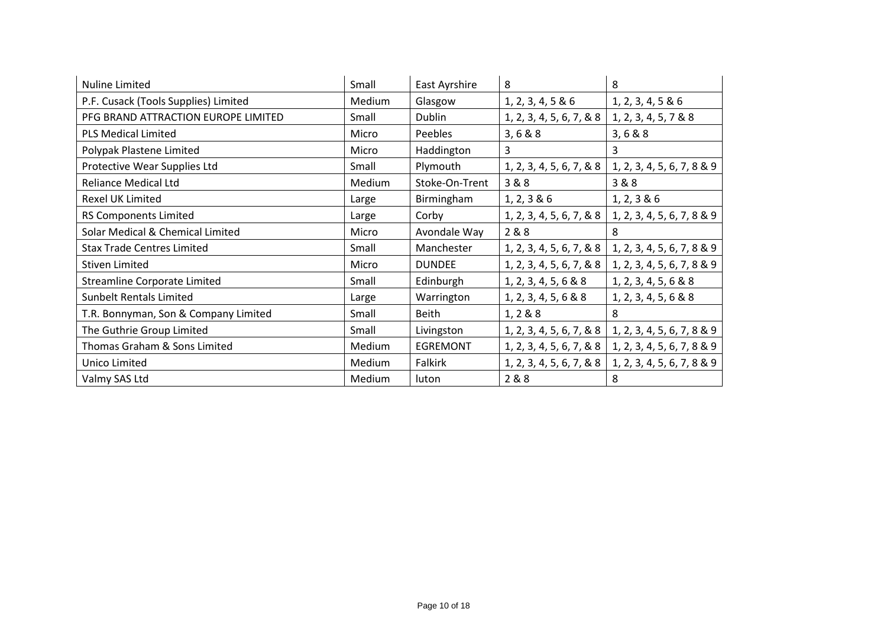| <b>Nuline Limited</b>                | Small  | East Ayrshire   | 8                        | 8                          |
|--------------------------------------|--------|-----------------|--------------------------|----------------------------|
| P.F. Cusack (Tools Supplies) Limited | Medium | Glasgow         | 1, 2, 3, 4, 5 & 6        | 1, 2, 3, 4, 5 & 6          |
| PFG BRAND ATTRACTION EUROPE LIMITED  | Small  | <b>Dublin</b>   | 1, 2, 3, 4, 5, 6, 7, & 8 | 1, 2, 3, 4, 5, 7 & 8       |
| <b>PLS Medical Limited</b>           | Micro  | <b>Peebles</b>  | 3, 6 & 8 & 8             | 3, 6 & 8                   |
| Polypak Plastene Limited             | Micro  | Haddington      | $\overline{3}$           | 3                          |
| Protective Wear Supplies Ltd         | Small  | Plymouth        | 1, 2, 3, 4, 5, 6, 7, & 8 | 1, 2, 3, 4, 5, 6, 7, 8 & 9 |
| <b>Reliance Medical Ltd</b>          | Medium | Stoke-On-Trent  | 3&8                      | 3 & 8                      |
| <b>Rexel UK Limited</b>              | Large  | Birmingham      | 1, 2, 3 & 6              | 1, 2, 3 & 6                |
| <b>RS Components Limited</b>         | Large  | Corby           | 1, 2, 3, 4, 5, 6, 7, & 8 | 1, 2, 3, 4, 5, 6, 7, 8 & 9 |
| Solar Medical & Chemical Limited     | Micro  | Avondale Way    | 2 & 8                    | 8                          |
| <b>Stax Trade Centres Limited</b>    | Small  | Manchester      | 1, 2, 3, 4, 5, 6, 7, & 8 | 1, 2, 3, 4, 5, 6, 7, 8 & 9 |
| <b>Stiven Limited</b>                | Micro  | <b>DUNDEE</b>   | 1, 2, 3, 4, 5, 6, 7, & 8 | 1, 2, 3, 4, 5, 6, 7, 8 & 9 |
| Streamline Corporate Limited         | Small  | Edinburgh       | 1, 2, 3, 4, 5, 6 & 8     | 1, 2, 3, 4, 5, 6 & 8       |
| <b>Sunbelt Rentals Limited</b>       | Large  | Warrington      | 1, 2, 3, 4, 5, 6 & 8     | 1, 2, 3, 4, 5, 6 & 8       |
| T.R. Bonnyman, Son & Company Limited | Small  | <b>Beith</b>    | 1, 2 & 8 & 8             | 8                          |
| The Guthrie Group Limited            | Small  | Livingston      | 1, 2, 3, 4, 5, 6, 7, & 8 | 1, 2, 3, 4, 5, 6, 7, 8 & 9 |
| Thomas Graham & Sons Limited         | Medium | <b>EGREMONT</b> | 1, 2, 3, 4, 5, 6, 7, & 8 | 1, 2, 3, 4, 5, 6, 7, 8 & 9 |
| Unico Limited                        | Medium | Falkirk         | 1, 2, 3, 4, 5, 6, 7, & 8 | 1, 2, 3, 4, 5, 6, 7, 8 & 9 |
| Valmy SAS Ltd                        | Medium | luton           | 2 & 8                    | 8                          |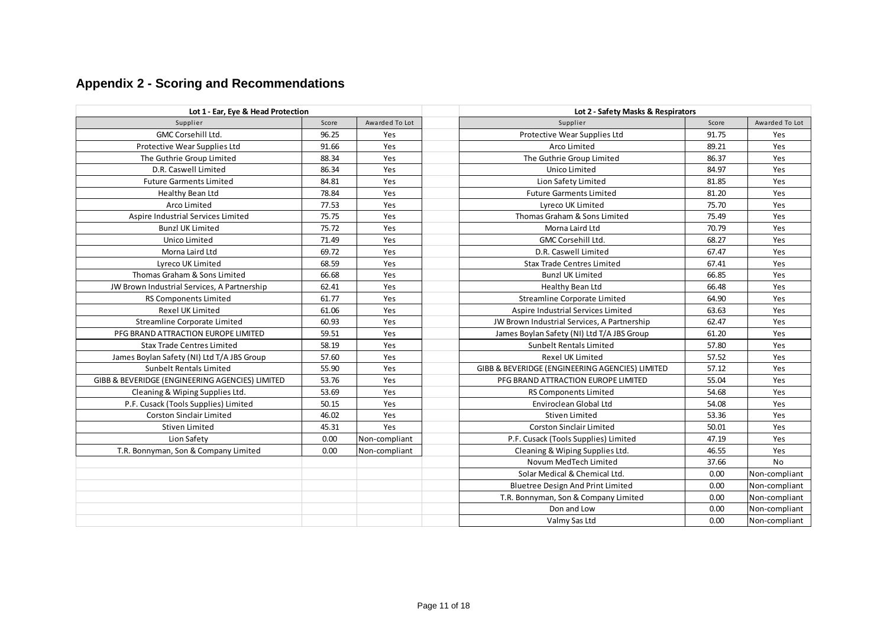# **Appendix 2 - Scoring and Recommendations**

| Lot 1 - Ear, Eye & Head Protection              |       |                | Lot 2 - Safety Masks & Respirators              |       |                |  |  |
|-------------------------------------------------|-------|----------------|-------------------------------------------------|-------|----------------|--|--|
| Supplier                                        | Score | Awarded To Lot | Supplier                                        | Score | Awarded To Lot |  |  |
| <b>GMC Corsehill Ltd.</b>                       | 96.25 | Yes            | Protective Wear Supplies Ltd                    | 91.75 | Yes            |  |  |
| Protective Wear Supplies Ltd                    | 91.66 | Yes            | Arco Limited                                    | 89.21 | Yes            |  |  |
| The Guthrie Group Limited                       | 88.34 | Yes            | The Guthrie Group Limited                       | 86.37 | Yes            |  |  |
| D.R. Caswell Limited                            | 86.34 | Yes            | Unico Limited                                   | 84.97 | Yes            |  |  |
| <b>Future Garments Limited</b>                  | 84.81 | Yes            | Lion Safety Limited                             | 81.85 | Yes            |  |  |
| Healthy Bean Ltd                                | 78.84 | Yes            | <b>Future Garments Limited</b>                  | 81.20 | Yes            |  |  |
| Arco Limited                                    | 77.53 | Yes            | Lyreco UK Limited                               | 75.70 | Yes            |  |  |
| Aspire Industrial Services Limited              | 75.75 | Yes            | Thomas Graham & Sons Limited                    | 75.49 | Yes            |  |  |
| <b>Bunzl UK Limited</b>                         | 75.72 | Yes            | Morna Laird Ltd                                 | 70.79 | Yes            |  |  |
| Unico Limited                                   | 71.49 | Yes            | <b>GMC Corsehill Ltd.</b>                       | 68.27 | Yes            |  |  |
| Morna Laird Ltd                                 | 69.72 | Yes            | D.R. Caswell Limited                            | 67.47 | Yes            |  |  |
| Lyreco UK Limited                               | 68.59 | Yes            | <b>Stax Trade Centres Limited</b>               | 67.41 | Yes            |  |  |
| Thomas Graham & Sons Limited                    | 66.68 | Yes            | <b>Bunzl UK Limited</b>                         | 66.85 | Yes            |  |  |
| JW Brown Industrial Services, A Partnership     | 62.41 | Yes            | Healthy Bean Ltd                                | 66.48 | Yes            |  |  |
| RS Components Limited                           | 61.77 | Yes            | Streamline Corporate Limited                    | 64.90 | Yes            |  |  |
| <b>Rexel UK Limited</b>                         | 61.06 | Yes            | Aspire Industrial Services Limited              | 63.63 | Yes            |  |  |
| Streamline Corporate Limited                    | 60.93 | Yes            | JW Brown Industrial Services, A Partnership     | 62.47 | Yes            |  |  |
| PFG BRAND ATTRACTION EUROPE LIMITED             | 59.51 | Yes            | James Boylan Safety (NI) Ltd T/A JBS Group      | 61.20 | Yes            |  |  |
| <b>Stax Trade Centres Limited</b>               | 58.19 | Yes            | Sunbelt Rentals Limited                         | 57.80 | Yes            |  |  |
| James Boylan Safety (NI) Ltd T/A JBS Group      | 57.60 | Yes            | <b>Rexel UK Limited</b>                         | 57.52 | Yes            |  |  |
| Sunbelt Rentals Limited                         | 55.90 | Yes            | GIBB & BEVERIDGE (ENGINEERING AGENCIES) LIMITED | 57.12 | Yes            |  |  |
| GIBB & BEVERIDGE (ENGINEERING AGENCIES) LIMITED | 53.76 | Yes            | PFG BRAND ATTRACTION EUROPE LIMITED             | 55.04 | Yes            |  |  |
| Cleaning & Wiping Supplies Ltd.                 | 53.69 | Yes            | <b>RS Components Limited</b>                    | 54.68 | Yes            |  |  |
| P.F. Cusack (Tools Supplies) Limited            | 50.15 | Yes            | Enviroclean Global Ltd                          | 54.08 | Yes            |  |  |
| <b>Corston Sinclair Limited</b>                 | 46.02 | Yes            | <b>Stiven Limited</b>                           | 53.36 | Yes            |  |  |
| Stiven Limited                                  | 45.31 | Yes            | Corston Sinclair Limited                        | 50.01 | Yes            |  |  |
| Lion Safety                                     | 0.00  | Non-compliant  | P.F. Cusack (Tools Supplies) Limited            | 47.19 | Yes            |  |  |
| T.R. Bonnyman, Son & Company Limited            | 0.00  | Non-compliant  | Cleaning & Wiping Supplies Ltd.                 | 46.55 | Yes            |  |  |
|                                                 |       |                | Novum MedTech Limited                           | 37.66 | No             |  |  |
|                                                 |       |                | Solar Medical & Chemical Ltd.                   | 0.00  | Non-compliant  |  |  |
|                                                 |       |                | <b>Bluetree Design And Print Limited</b>        | 0.00  | Non-compliant  |  |  |
|                                                 |       |                | T.R. Bonnyman, Son & Company Limited            | 0.00  | Non-compliant  |  |  |
|                                                 |       |                | Don and Low                                     | 0.00  | Non-compliant  |  |  |
|                                                 |       |                | Valmy Sas Ltd                                   | 0.00  | Non-compliant  |  |  |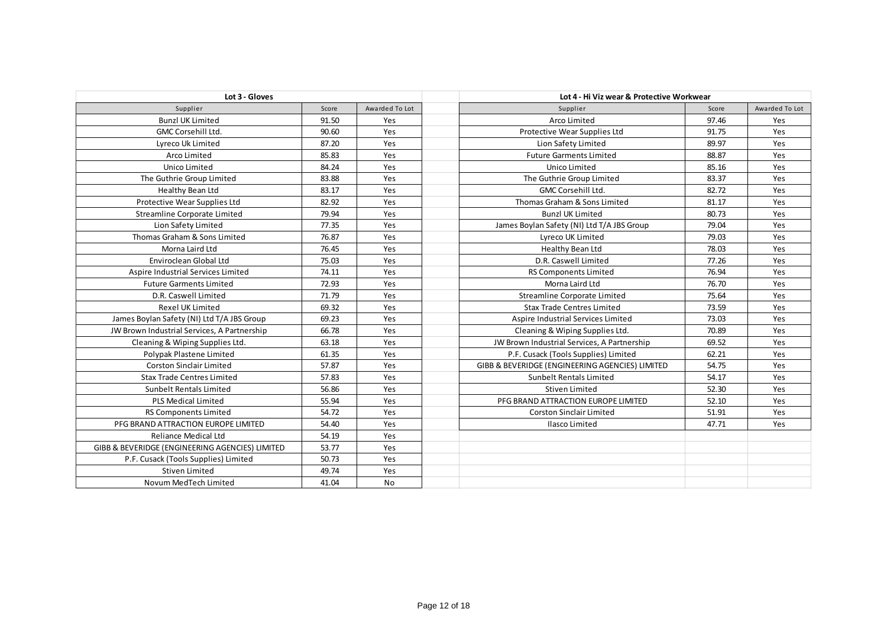| Lot 3 - Gloves                                  |       |                | Lot 4 - Hi Viz wear & Protective Workwear                |                |
|-------------------------------------------------|-------|----------------|----------------------------------------------------------|----------------|
| Supplier                                        | Score | Awarded To Lot | Supplier<br>Score                                        | Awarded To Lot |
| <b>Bunzl UK Limited</b>                         | 91.50 | Yes            | Arco Limited<br>97.46                                    | Yes            |
| GMC Corsehill Ltd.                              | 90.60 | Yes            | 91.75<br>Protective Wear Supplies Ltd                    | Yes            |
| Lyreco Uk Limited                               | 87.20 | Yes            | Lion Safety Limited<br>89.97                             | Yes            |
| Arco Limited                                    | 85.83 | Yes            | 88.87<br><b>Future Garments Limited</b>                  | Yes            |
| Unico Limited                                   | 84.24 | Yes            | Unico Limited<br>85.16                                   | Yes            |
| The Guthrie Group Limited                       | 83.88 | Yes            | 83.37<br>The Guthrie Group Limited                       | Yes            |
| Healthy Bean Ltd                                | 83.17 | Yes            | 82.72<br>GMC Corsehill Ltd.                              | Yes            |
| Protective Wear Supplies Ltd                    | 82.92 | Yes            | Thomas Graham & Sons Limited<br>81.17                    | Yes            |
| Streamline Corporate Limited                    | 79.94 | Yes            | <b>Bunzl UK Limited</b><br>80.73                         | Yes            |
| Lion Safety Limited                             | 77.35 | Yes            | 79.04<br>James Boylan Safety (NI) Ltd T/A JBS Group      | Yes            |
| Thomas Graham & Sons Limited                    | 76.87 | Yes            | 79.03<br>Lyreco UK Limited                               | Yes            |
| Morna Laird Ltd                                 | 76.45 | Yes            | 78.03<br>Healthy Bean Ltd                                | Yes            |
| Enviroclean Global Ltd                          | 75.03 | Yes            | 77.26<br>D.R. Caswell Limited                            | Yes            |
| Aspire Industrial Services Limited              | 74.11 | Yes            | 76.94<br>RS Components Limited                           | Yes            |
| <b>Future Garments Limited</b>                  | 72.93 | Yes            | 76.70<br>Morna Laird Ltd                                 | Yes            |
| D.R. Caswell Limited                            | 71.79 | Yes            | 75.64<br>Streamline Corporate Limited                    | Yes            |
| <b>Rexel UK Limited</b>                         | 69.32 | Yes            | <b>Stax Trade Centres Limited</b><br>73.59               | Yes            |
| James Boylan Safety (NI) Ltd T/A JBS Group      | 69.23 | Yes            | 73.03<br>Aspire Industrial Services Limited              | Yes            |
| JW Brown Industrial Services, A Partnership     | 66.78 | Yes            | 70.89<br>Cleaning & Wiping Supplies Ltd.                 | Yes            |
| Cleaning & Wiping Supplies Ltd.                 | 63.18 | Yes            | JW Brown Industrial Services, A Partnership<br>69.52     | Yes            |
| Polypak Plastene Limited                        | 61.35 | Yes            | 62.21<br>P.F. Cusack (Tools Supplies) Limited            | Yes            |
| <b>Corston Sinclair Limited</b>                 | 57.87 | Yes            | GIBB & BEVERIDGE (ENGINEERING AGENCIES) LIMITED<br>54.75 | Yes            |
| <b>Stax Trade Centres Limited</b>               | 57.83 | Yes            | Sunbelt Rentals Limited<br>54.17                         | Yes            |
| Sunbelt Rentals Limited                         | 56.86 | Yes            | 52.30<br>Stiven Limited                                  | Yes            |
| <b>PLS Medical Limited</b>                      | 55.94 | Yes            | 52.10<br>PFG BRAND ATTRACTION EUROPE LIMITED             | Yes            |
| RS Components Limited                           | 54.72 | Yes            | <b>Corston Sinclair Limited</b><br>51.91                 | Yes            |
| PFG BRAND ATTRACTION EUROPE LIMITED             | 54.40 | Yes            | 47.71<br>Ilasco Limited                                  | Yes            |
| <b>Reliance Medical Ltd</b>                     | 54.19 | Yes            |                                                          |                |
| GIBB & BEVERIDGE (ENGINEERING AGENCIES) LIMITED | 53.77 | Yes            |                                                          |                |
| P.F. Cusack (Tools Supplies) Limited            | 50.73 | Yes            |                                                          |                |
| <b>Stiven Limited</b>                           | 49.74 | Yes            |                                                          |                |
| Novum MedTech Limited                           | 41.04 | No             |                                                          |                |
|                                                 |       |                |                                                          |                |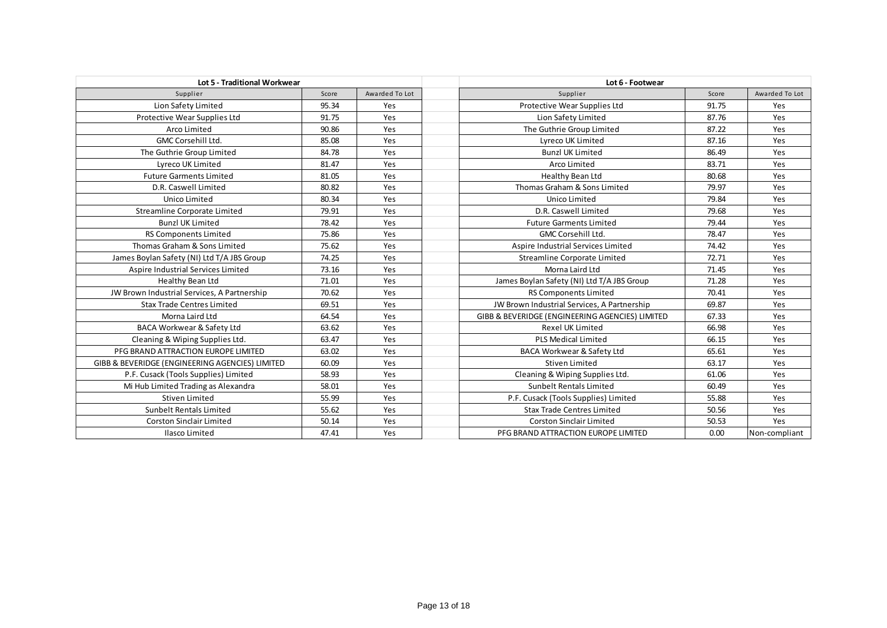| Lot 5 - Traditional Workwear                    |       |                | Lot 6 - Footwear                                |       |                |  |  |
|-------------------------------------------------|-------|----------------|-------------------------------------------------|-------|----------------|--|--|
| Supplier                                        | Score | Awarded To Lot | Supplier                                        | Score | Awarded To Lot |  |  |
| Lion Safety Limited                             | 95.34 | Yes            | Protective Wear Supplies Ltd                    | 91.75 | Yes            |  |  |
| Protective Wear Supplies Ltd                    | 91.75 | Yes            | Lion Safety Limited                             | 87.76 | Yes            |  |  |
| Arco Limited                                    | 90.86 | Yes            | The Guthrie Group Limited                       | 87.22 | Yes            |  |  |
| <b>GMC Corsehill Ltd.</b>                       | 85.08 | Yes            | Lyreco UK Limited                               | 87.16 | Yes            |  |  |
| The Guthrie Group Limited                       | 84.78 | Yes            | <b>Bunzl UK Limited</b>                         | 86.49 | Yes            |  |  |
| Lyreco UK Limited                               | 81.47 | Yes            | Arco Limited                                    | 83.71 | Yes            |  |  |
| <b>Future Garments Limited</b>                  | 81.05 | Yes            | Healthy Bean Ltd                                | 80.68 | Yes            |  |  |
| D.R. Caswell Limited                            | 80.82 | Yes            | Thomas Graham & Sons Limited                    | 79.97 | Yes            |  |  |
| Unico Limited                                   | 80.34 | Yes            | Unico Limited                                   | 79.84 | Yes            |  |  |
| Streamline Corporate Limited                    | 79.91 | Yes            | D.R. Caswell Limited                            | 79.68 | Yes            |  |  |
| <b>Bunzl UK Limited</b>                         | 78.42 | Yes            | <b>Future Garments Limited</b>                  | 79.44 | Yes            |  |  |
| <b>RS Components Limited</b>                    | 75.86 | Yes            | <b>GMC Corsehill Ltd.</b>                       |       | Yes            |  |  |
| Thomas Graham & Sons Limited                    | 75.62 | Yes            | Aspire Industrial Services Limited              |       | Yes            |  |  |
| James Boylan Safety (NI) Ltd T/A JBS Group      | 74.25 | Yes            | Streamline Corporate Limited                    |       | Yes            |  |  |
| Aspire Industrial Services Limited              | 73.16 | Yes            | Morna Laird Ltd                                 |       | Yes            |  |  |
| Healthy Bean Ltd                                | 71.01 | Yes            | James Boylan Safety (NI) Ltd T/A JBS Group      |       | Yes            |  |  |
| JW Brown Industrial Services, A Partnership     | 70.62 | Yes            | RS Components Limited                           | 70.41 | Yes            |  |  |
| <b>Stax Trade Centres Limited</b>               | 69.51 | Yes            | JW Brown Industrial Services, A Partnership     | 69.87 | Yes            |  |  |
| Morna Laird Ltd                                 | 64.54 | Yes            | GIBB & BEVERIDGE (ENGINEERING AGENCIES) LIMITED | 67.33 | Yes            |  |  |
| <b>BACA Workwear &amp; Safety Ltd</b>           | 63.62 | Yes            | <b>Rexel UK Limited</b>                         | 66.98 | Yes            |  |  |
| Cleaning & Wiping Supplies Ltd.                 | 63.47 | Yes            | <b>PLS Medical Limited</b>                      | 66.15 | Yes            |  |  |
| PFG BRAND ATTRACTION EUROPE LIMITED             | 63.02 | Yes            | BACA Workwear & Safety Ltd                      | 65.61 | Yes            |  |  |
| GIBB & BEVERIDGE (ENGINEERING AGENCIES) LIMITED | 60.09 | Yes            | <b>Stiven Limited</b>                           | 63.17 | Yes            |  |  |
| P.F. Cusack (Tools Supplies) Limited            | 58.93 | Yes            | Cleaning & Wiping Supplies Ltd.                 | 61.06 | Yes            |  |  |
| Mi Hub Limited Trading as Alexandra             | 58.01 | Yes            | <b>Sunbelt Rentals Limited</b>                  | 60.49 | Yes            |  |  |
| <b>Stiven Limited</b>                           | 55.99 | Yes            | P.F. Cusack (Tools Supplies) Limited            | 55.88 | Yes            |  |  |
| Sunbelt Rentals Limited                         | 55.62 | Yes            | <b>Stax Trade Centres Limited</b>               | 50.56 | Yes            |  |  |
| Corston Sinclair Limited                        | 50.14 | Yes            | <b>Corston Sinclair Limited</b>                 | 50.53 | Yes            |  |  |
| Ilasco Limited                                  | 47.41 | Yes            | PFG BRAND ATTRACTION EUROPE LIMITED             | 0.00  | Non-compliant  |  |  |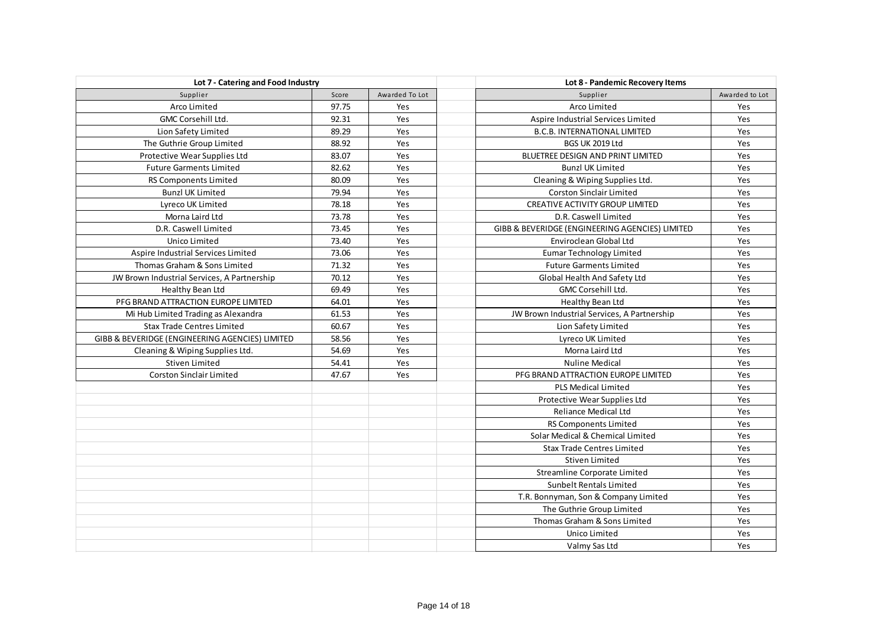| Lot 7 - Catering and Food Industry              |       |                | Lot 8 - Pandemic Recovery Items                        |
|-------------------------------------------------|-------|----------------|--------------------------------------------------------|
| Supplier                                        | Score | Awarded To Lot | Supplier<br>Awarded to Lot                             |
| Arco Limited                                    | 97.75 | Yes            | Arco Limited<br>Yes                                    |
| <b>GMC Corsehill Ltd.</b>                       | 92.31 | Yes            | Aspire Industrial Services Limited<br>Yes              |
| Lion Safety Limited                             | 89.29 | Yes            | Yes<br><b>B.C.B. INTERNATIONAL LIMITED</b>             |
| The Guthrie Group Limited                       | 88.92 | Yes            | BGS UK 2019 Ltd<br>Yes                                 |
| Protective Wear Supplies Ltd                    | 83.07 | Yes            | <b>BLUETREE DESIGN AND PRINT LIMITED</b><br>Yes        |
| <b>Future Garments Limited</b>                  | 82.62 | Yes            | <b>Bunzl UK Limited</b><br>Yes                         |
| RS Components Limited                           | 80.09 | Yes            | Cleaning & Wiping Supplies Ltd.<br>Yes                 |
| <b>Bunzl UK Limited</b>                         | 79.94 | Yes            | <b>Corston Sinclair Limited</b><br>Yes                 |
| Lyreco UK Limited                               | 78.18 | Yes            | Yes<br><b>CREATIVE ACTIVITY GROUP LIMITED</b>          |
| Morna Laird Ltd                                 | 73.78 | Yes            | Yes<br>D.R. Caswell Limited                            |
| D.R. Caswell Limited                            | 73.45 | Yes            | Yes<br>GIBB & BEVERIDGE (ENGINEERING AGENCIES) LIMITED |
| Unico Limited                                   | 73.40 | Yes            | Yes<br>Enviroclean Global Ltd                          |
| Aspire Industrial Services Limited              | 73.06 | Yes            | Yes<br><b>Eumar Technology Limited</b>                 |
| Thomas Graham & Sons Limited                    | 71.32 | Yes            | Yes<br><b>Future Garments Limited</b>                  |
| JW Brown Industrial Services, A Partnership     | 70.12 | Yes            | Yes<br>Global Health And Safety Ltd                    |
| Healthy Bean Ltd                                | 69.49 | Yes            | GMC Corsehill Ltd.<br>Yes                              |
| PFG BRAND ATTRACTION EUROPE LIMITED             | 64.01 | Yes            | Healthy Bean Ltd<br>Yes                                |
| Mi Hub Limited Trading as Alexandra             | 61.53 | Yes            | Yes<br>JW Brown Industrial Services, A Partnership     |
| <b>Stax Trade Centres Limited</b>               | 60.67 | Yes            | Yes<br>Lion Safety Limited                             |
| GIBB & BEVERIDGE (ENGINEERING AGENCIES) LIMITED | 58.56 | Yes            | Yes<br>Lyreco UK Limited                               |
| Cleaning & Wiping Supplies Ltd.                 | 54.69 | Yes            | Yes<br>Morna Laird Ltd                                 |
| Stiven Limited                                  | 54.41 | Yes            | Yes<br><b>Nuline Medical</b>                           |
| <b>Corston Sinclair Limited</b>                 | 47.67 | Yes            | Yes<br>PFG BRAND ATTRACTION EUROPE LIMITED             |
|                                                 |       |                | <b>PLS Medical Limited</b><br>Yes                      |
|                                                 |       |                | Yes<br>Protective Wear Supplies Ltd                    |
|                                                 |       |                | Yes<br>Reliance Medical Ltd                            |
|                                                 |       |                | Yes<br><b>RS Components Limited</b>                    |
|                                                 |       |                | Solar Medical & Chemical Limited<br>Yes                |
|                                                 |       |                | Yes<br><b>Stax Trade Centres Limited</b>               |
|                                                 |       |                | Stiven Limited<br>Yes                                  |
|                                                 |       |                | Yes<br>Streamline Corporate Limited                    |
|                                                 |       |                | Yes<br>Sunbelt Rentals Limited                         |
|                                                 |       |                | T.R. Bonnyman, Son & Company Limited<br>Yes            |
|                                                 |       |                | Yes<br>The Guthrie Group Limited                       |
|                                                 |       |                | Thomas Graham & Sons Limited<br>Yes                    |
|                                                 |       |                | Yes<br>Unico Limited                                   |
|                                                 |       |                | Valmy Sas Ltd<br>Yes                                   |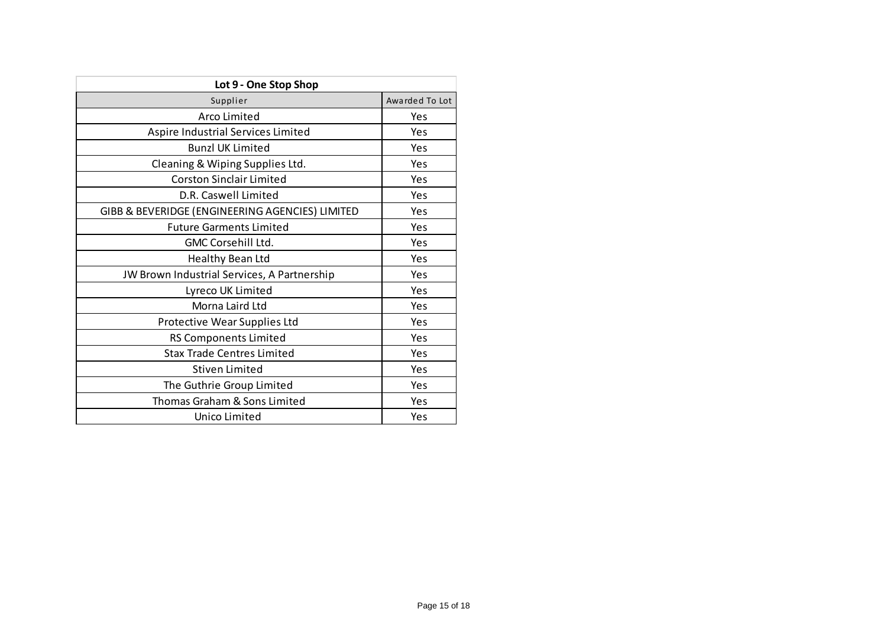| Lot 9 - One Stop Shop                           |                |  |  |  |  |  |
|-------------------------------------------------|----------------|--|--|--|--|--|
| Supplier                                        | Awarded To Lot |  |  |  |  |  |
| Arco Limited                                    | Yes            |  |  |  |  |  |
| Aspire Industrial Services Limited              | Yes            |  |  |  |  |  |
| <b>Bunzl UK Limited</b>                         | Yes            |  |  |  |  |  |
| Cleaning & Wiping Supplies Ltd.                 | Yes            |  |  |  |  |  |
| <b>Corston Sinclair Limited</b>                 | Yes            |  |  |  |  |  |
| D.R. Caswell Limited                            | Yes            |  |  |  |  |  |
| GIBB & BEVERIDGE (ENGINEERING AGENCIES) LIMITED | Yes            |  |  |  |  |  |
| <b>Future Garments Limited</b>                  | Yes            |  |  |  |  |  |
| <b>GMC Corsehill Ltd.</b>                       | Yes            |  |  |  |  |  |
| Healthy Bean Ltd                                | Yes            |  |  |  |  |  |
| JW Brown Industrial Services, A Partnership     | Yes            |  |  |  |  |  |
| Lyreco UK Limited                               | Yes            |  |  |  |  |  |
| Morna Laird Ltd                                 | Yes            |  |  |  |  |  |
| Protective Wear Supplies Ltd                    | Yes            |  |  |  |  |  |
| <b>RS Components Limited</b>                    | Yes            |  |  |  |  |  |
| <b>Stax Trade Centres Limited</b>               | Yes            |  |  |  |  |  |
| Stiven Limited                                  | Yes            |  |  |  |  |  |
| The Guthrie Group Limited                       | Yes            |  |  |  |  |  |
| Thomas Graham & Sons Limited                    | Yes            |  |  |  |  |  |
| Unico Limited                                   | Yes            |  |  |  |  |  |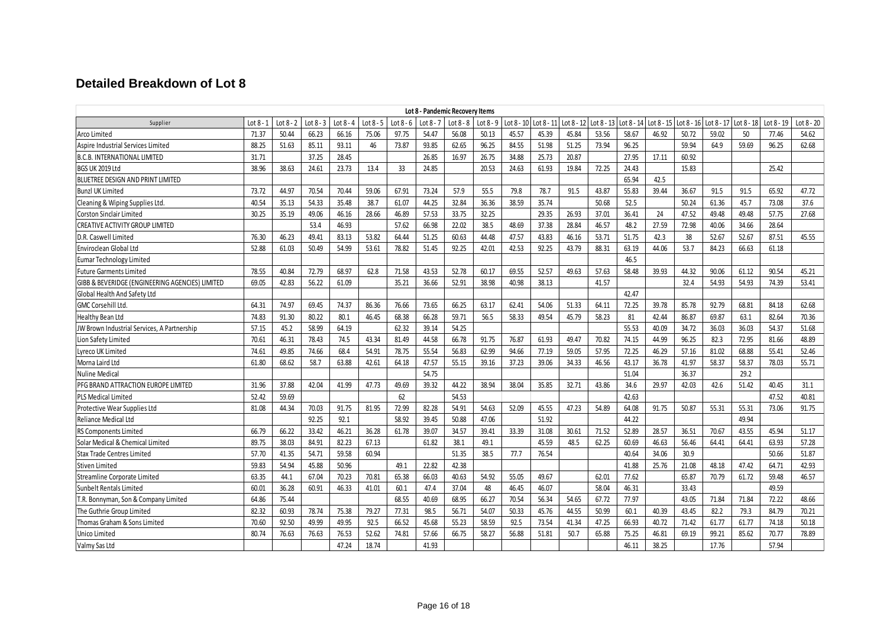# **Detailed Breakdown of Lot 8**

| Lot 8 - Pandemic Recovery Items                 |       |           |             |             |             |             |           |             |             |       |                       |            |              |            |       |                       |       |                       |            |              |
|-------------------------------------------------|-------|-----------|-------------|-------------|-------------|-------------|-----------|-------------|-------------|-------|-----------------------|------------|--------------|------------|-------|-----------------------|-------|-----------------------|------------|--------------|
| Supplier                                        | Lot 8 | Lot 8 - 2 | Lot $8 - 3$ | Lot $8 - 4$ | $Lot 8 - 5$ | Lot $8 - 6$ | $Lot 8 -$ | Lot $8 - 8$ | Lot $8 - 9$ |       | Lot 8 - 10 Lot 8 - 11 | Lot 8 - 12 | Lot $8 - 13$ | Lot 8 - 14 |       | Lot 8 - 15 Lot 8 - 16 |       | Lot 8 - 17 Lot 8 - 18 | Lot 8 - 19 | Lot $8 - 20$ |
| Arco Limited                                    | 71.37 | 50.44     | 66.23       | 66.16       | 75.06       | 97.75       | 54.47     | 56.08       | 50.13       | 45.57 | 45.39                 | 45.84      | 53.56        | 58.67      | 46.92 | 50.72                 | 59.02 | 50                    | 77.46      | 54.62        |
| Aspire Industrial Services Limited              | 88.25 | 51.63     | 85.11       | 93.11       | 46          | 73.87       | 93.85     | 62.65       | 96.25       | 84.55 | 51.98                 | 51.25      | 73.94        | 96.25      |       | 59.94                 | 64.9  | 59.69                 | 96.25      | 62.68        |
| <b>B.C.B. INTERNATIONAL LIMITED</b>             | 31.71 |           | 37.25       | 28.45       |             |             | 26.85     | 16.97       | 26.75       | 34.88 | 25.73                 | 20.87      |              | 27.95      | 17.11 | 60.92                 |       |                       |            |              |
| BGS UK 2019 Ltd                                 | 38.96 | 38.63     | 24.61       | 23.73       | 13.4        | 33          | 24.85     |             | 20.53       | 24.63 | 61.93                 | 19.84      | 72.25        | 24.43      |       | 15.83                 |       |                       | 25.42      |              |
| BLUETREE DESIGN AND PRINT LIMITED               |       |           |             |             |             |             |           |             |             |       |                       |            |              | 65.94      | 42.5  |                       |       |                       |            |              |
| <b>Bunzl UK Limited</b>                         | 73.72 | 44.97     | 70.54       | 70.44       | 59.06       | 67.91       | 73.24     | 57.9        | 55.5        | 79.8  | 78.7                  | 91.5       | 43.87        | 55.83      | 39.44 | 36.67                 | 91.5  | 91.5                  | 65.92      | 47.72        |
| Cleaning & Wiping Supplies Ltd.                 | 40.54 | 35.13     | 54.33       | 35.48       | 38.7        | 61.07       | 44.25     | 32.84       | 36.36       | 38.59 | 35.74                 |            | 50.68        | 52.5       |       | 50.24                 | 61.36 | 45.7                  | 73.08      | 37.6         |
| <b>Corston Sinclair Limited</b>                 | 30.25 | 35.19     | 49.06       | 46.16       | 28.66       | 46.89       | 57.53     | 33.75       | 32.25       |       | 29.35                 | 26.93      | 37.01        | 36.41      | 24    | 47.52                 | 49.48 | 49.48                 | 57.75      | 27.68        |
| CREATIVE ACTIVITY GROUP LIMITED                 |       |           | 53.4        | 46.93       |             | 57.62       | 66.98     | 22.02       | 38.5        | 48.69 | 37.38                 | 28.84      | 46.57        | 48.2       | 27.59 | 72.98                 | 40.06 | 34.66                 | 28.64      |              |
| D.R. Caswell Limited                            | 76.30 | 46.23     | 49.41       | 83.13       | 53.82       | 64.44       | 51.25     | 60.63       | 44.48       | 47.57 | 43.83                 | 46.16      | 53.71        | 51.75      | 42.3  | 38                    | 52.67 | 52.67                 | 87.51      | 45.55        |
| Enviroclean Global Ltd                          | 52.88 | 61.03     | 50.49       | 54.99       | 53.61       | 78.82       | 51.45     | 92.25       | 42.01       | 42.53 | 92.25                 | 43.79      | 88.31        | 63.19      | 44.06 | 53.7                  | 84.23 | 66.63                 | 61.18      |              |
| <b>Eumar Technology Limited</b>                 |       |           |             |             |             |             |           |             |             |       |                       |            |              | 46.5       |       |                       |       |                       |            |              |
| <b>Future Garments Limited</b>                  | 78.55 | 40.84     | 72.79       | 68.97       | 62.8        | 71.58       | 43.53     | 52.78       | 60.17       | 69.55 | 52.57                 | 49.63      | 57.63        | 58.48      | 39.93 | 44.32                 | 90.06 | 61.12                 | 90.54      | 45.21        |
| GIBB & BEVERIDGE (ENGINEERING AGENCIES) LIMITED | 69.05 | 42.83     | 56.22       | 61.09       |             | 35.21       | 36.66     | 52.91       | 38.98       | 40.98 | 38.13                 |            | 41.57        |            |       | 32.4                  | 54.93 | 54.93                 | 74.39      | 53.41        |
| Global Health And Safety Ltd                    |       |           |             |             |             |             |           |             |             |       |                       |            |              | 42.47      |       |                       |       |                       |            |              |
| <b>GMC Corsehill Ltd.</b>                       | 64.31 | 74.97     | 69.45       | 74.37       | 86.36       | 76.66       | 73.65     | 66.25       | 63.17       | 62.41 | 54.06                 | 51.33      | 64.11        | 72.25      | 39.78 | 85.78                 | 92.79 | 68.81                 | 84.18      | 62.68        |
| <b>Healthy Bean Ltd</b>                         | 74.83 | 91.30     | 80.22       | 80.1        | 46.45       | 68.38       | 66.28     | 59.71       | 56.5        | 58.33 | 49.54                 | 45.79      | 58.23        | 81         | 42.44 | 86.87                 | 69.87 | 63.1                  | 82.64      | 70.36        |
| JW Brown Industrial Services, A Partnership     | 57.15 | 45.2      | 58.99       | 64.19       |             | 62.32       | 39.14     | 54.25       |             |       |                       |            |              | 55.53      | 40.09 | 34.72                 | 36.03 | 36.03                 | 54.37      | 51.68        |
| Lion Safety Limited                             | 70.61 | 46.31     | 78.43       | 74.5        | 43.34       | 81.49       | 44.58     | 66.78       | 91.75       | 76.87 | 61.93                 | 49.47      | 70.82        | 74.15      | 44.99 | 96.25                 | 82.3  | 72.95                 | 81.66      | 48.89        |
| Lyreco UK Limited                               | 74.61 | 49.85     | 74.66       | 68.4        | 54.91       | 78.75       | 55.54     | 56.83       | 62.99       | 94.66 | 77.19                 | 59.05      | 57.95        | 72.25      | 46.29 | 57.16                 | 81.02 | 68.88                 | 55.41      | 52.46        |
| Morna Laird Ltd                                 | 61.80 | 68.62     | 58.7        | 63.88       | 42.61       | 64.18       | 47.57     | 55.15       | 39.16       | 37.23 | 39.06                 | 34.33      | 46.56        | 43.17      | 36.78 | 41.97                 | 58.37 | 58.37                 | 78.03      | 55.71        |
| <b>Nuline Medical</b>                           |       |           |             |             |             |             | 54.75     |             |             |       |                       |            |              | 51.04      |       | 36.37                 |       | 29.2                  |            |              |
| PFG BRAND ATTRACTION EUROPE LIMITED             | 31.96 | 37.88     | 42.04       | 41.99       | 47.73       | 49.69       | 39.32     | 44.22       | 38.94       | 38.04 | 35.85                 | 32.71      | 43.86        | 34.6       | 29.97 | 42.03                 | 42.6  | 51.42                 | 40.45      | 31.1         |
| PLS Medical Limited                             | 52.42 | 59.69     |             |             |             | 62          |           | 54.53       |             |       |                       |            |              | 42.63      |       |                       |       |                       | 47.52      | 40.81        |
| Protective Wear Supplies Ltd                    | 81.08 | 44.34     | 70.03       | 91.75       | 81.95       | 72.99       | 82.28     | 54.91       | 54.63       | 52.09 | 45.55                 | 47.23      | 54.89        | 64.08      | 91.75 | 50.87                 | 55.31 | 55.31                 | 73.06      | 91.75        |
| Reliance Medical Ltd                            |       |           | 92.25       | 92.1        |             | 58.92       | 39.45     | 50.88       | 47.06       |       | 51.92                 |            |              | 44.22      |       |                       |       | 49.94                 |            |              |
| <b>RS Components Limited</b>                    | 66.79 | 66.22     | 33.42       | 46.21       | 36.28       | 61.78       | 39.07     | 34.57       | 39.41       | 33.39 | 31.08                 | 30.61      | 71.52        | 52.89      | 28.57 | 36.51                 | 70.67 | 43.55                 | 45.94      | 51.17        |
| Solar Medical & Chemical Limited                | 89.75 | 38.03     | 84.91       | 82.23       | 67.13       |             | 61.82     | 38.1        | 49.1        |       | 45.59                 | 48.5       | 62.25        | 60.69      | 46.63 | 56.46                 | 64.41 | 64.41                 | 63.93      | 57.28        |
| <b>Stax Trade Centres Limited</b>               | 57.70 | 41.35     | 54.71       | 59.58       | 60.94       |             |           | 51.35       | 38.5        | 77.7  | 76.54                 |            |              | 40.64      | 34.06 | 30.9                  |       |                       | 50.66      | 51.87        |
| Stiven Limited                                  | 59.83 | 54.94     | 45.88       | 50.96       |             | 49.1        | 22.82     | 42.38       |             |       |                       |            |              | 41.88      | 25.76 | 21.08                 | 48.18 | 47.42                 | 64.71      | 42.93        |
| Streamline Corporate Limited                    | 63.35 | 44.1      | 67.04       | 70.23       | 70.81       | 65.38       | 66.03     | 40.63       | 54.92       | 55.05 | 49.67                 |            | 62.01        | 77.62      |       | 65.87                 | 70.79 | 61.72                 | 59.48      | 46.57        |
| Sunbelt Rentals Limited                         | 60.01 | 36.28     | 60.91       | 46.33       | 41.01       | 60.1        | 47.4      | 37.04       | 48          | 46.45 | 46.07                 |            | 58.04        | 46.31      |       | 33.43                 |       |                       | 49.59      |              |
| T.R. Bonnyman, Son & Company Limited            | 64.86 | 75.44     |             |             |             | 68.55       | 40.69     | 68.95       | 66.27       | 70.54 | 56.34                 | 54.65      | 67.72        | 77.97      |       | 43.05                 | 71.84 | 71.84                 | 72.22      | 48.66        |
| The Guthrie Group Limited                       | 82.32 | 60.93     | 78.74       | 75.38       | 79.27       | 77.31       | 98.5      | 56.71       | 54.07       | 50.33 | 45.76                 | 44.55      | 50.99        | 60.1       | 40.39 | 43.45                 | 82.2  | 79.3                  | 84.79      | 70.21        |
| Thomas Graham & Sons Limited                    | 70.60 | 92.50     | 49.99       | 49.95       | 92.5        | 66.52       | 45.68     | 55.23       | 58.59       | 92.5  | 73.54                 | 41.34      | 47.25        | 66.93      | 40.72 | 71.42                 | 61.77 | 61.77                 | 74.18      | 50.18        |
| Unico Limited                                   | 80.74 | 76.63     | 76.63       | 76.53       | 52.62       | 74.81       | 57.66     | 66.75       | 58.27       | 56.88 | 51.81                 | 50.7       | 65.88        | 75.25      | 46.81 | 69.19                 | 99.21 | 85.62                 | 70.77      | 78.89        |
| Valmy Sas Ltd                                   |       |           |             | 47.24       | 18.74       |             | 41.93     |             |             |       |                       |            |              | 46.11      | 38.25 |                       | 17.76 |                       | 57.94      |              |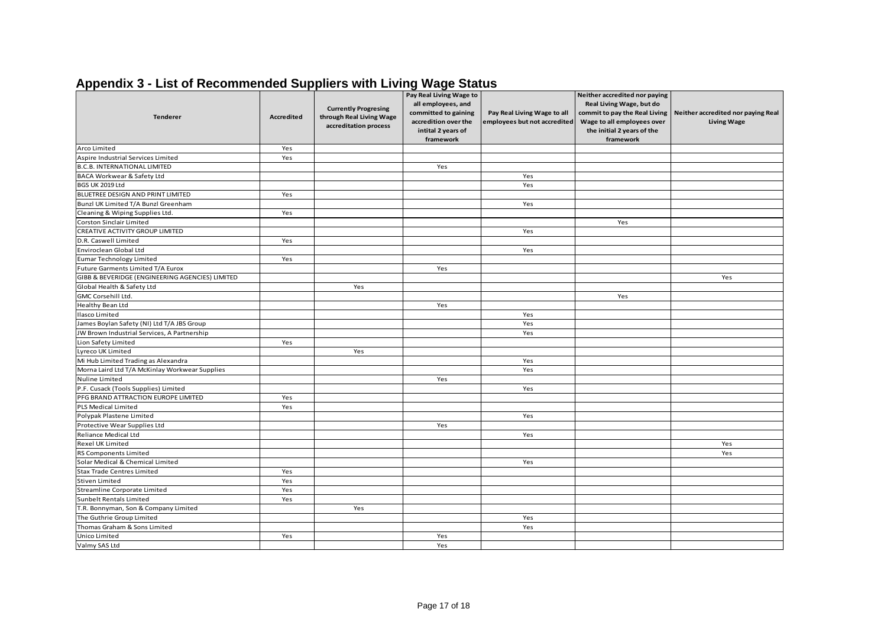| <b>Tenderer</b>                                           | <b>Accredited</b> | <b>Currently Progresing</b><br>through Real Living Wage<br>accreditation process | Pay Real Living Wage to<br>all employees, and<br>committed to gaining<br>accredition over the<br>intital 2 years of<br>framework | Pay Real Living Wage to all<br>employees but not accredited | Neither accredited nor paying<br>Real Living Wage, but do<br>commit to pay the Real Living<br>Wage to all employees over<br>the initial 2 years of the<br>framework | Neither accredited nor paying Real<br><b>Living Wage</b> |
|-----------------------------------------------------------|-------------------|----------------------------------------------------------------------------------|----------------------------------------------------------------------------------------------------------------------------------|-------------------------------------------------------------|---------------------------------------------------------------------------------------------------------------------------------------------------------------------|----------------------------------------------------------|
| Arco Limited                                              | Yes               |                                                                                  |                                                                                                                                  |                                                             |                                                                                                                                                                     |                                                          |
| Aspire Industrial Services Limited                        | Yes               |                                                                                  |                                                                                                                                  |                                                             |                                                                                                                                                                     |                                                          |
| B.C.B. INTERNATIONAL LIMITED                              |                   |                                                                                  | Yes                                                                                                                              |                                                             |                                                                                                                                                                     |                                                          |
| BACA Workwear & Safety Ltd                                |                   |                                                                                  |                                                                                                                                  | Yes                                                         |                                                                                                                                                                     |                                                          |
| BGS UK 2019 Ltd                                           |                   |                                                                                  |                                                                                                                                  | Yes                                                         |                                                                                                                                                                     |                                                          |
| BLUETREE DESIGN AND PRINT LIMITED                         | Yes               |                                                                                  |                                                                                                                                  |                                                             |                                                                                                                                                                     |                                                          |
| Bunzl UK Limited T/A Bunzl Greenham                       |                   |                                                                                  |                                                                                                                                  | Yes                                                         |                                                                                                                                                                     |                                                          |
| Cleaning & Wiping Supplies Ltd.                           | Yes               |                                                                                  |                                                                                                                                  |                                                             |                                                                                                                                                                     |                                                          |
| Corston Sinclair Limited                                  |                   |                                                                                  |                                                                                                                                  |                                                             | Yes                                                                                                                                                                 |                                                          |
| CREATIVE ACTIVITY GROUP LIMITED                           |                   |                                                                                  |                                                                                                                                  | Yes                                                         |                                                                                                                                                                     |                                                          |
| D.R. Caswell Limited                                      | Yes               |                                                                                  |                                                                                                                                  |                                                             |                                                                                                                                                                     |                                                          |
| Enviroclean Global Ltd                                    |                   |                                                                                  |                                                                                                                                  | Yes                                                         |                                                                                                                                                                     |                                                          |
| Eumar Technology Limited                                  | Yes               |                                                                                  |                                                                                                                                  |                                                             |                                                                                                                                                                     |                                                          |
| Future Garments Limited T/A Eurox                         |                   |                                                                                  | Yes                                                                                                                              |                                                             |                                                                                                                                                                     |                                                          |
| GIBB & BEVERIDGE (ENGINEERING AGENCIES) LIMITED           |                   |                                                                                  |                                                                                                                                  |                                                             |                                                                                                                                                                     | Yes                                                      |
| Global Health & Safety Ltd                                |                   | Yes                                                                              |                                                                                                                                  |                                                             |                                                                                                                                                                     |                                                          |
| GMC Corsehill Ltd.                                        |                   |                                                                                  |                                                                                                                                  |                                                             | Yes                                                                                                                                                                 |                                                          |
| Healthy Bean Ltd                                          |                   |                                                                                  | Yes                                                                                                                              |                                                             |                                                                                                                                                                     |                                                          |
| <b>Ilasco Limited</b>                                     |                   |                                                                                  |                                                                                                                                  | Yes                                                         |                                                                                                                                                                     |                                                          |
| James Boylan Safety (NI) Ltd T/A JBS Group                |                   |                                                                                  |                                                                                                                                  | Yes                                                         |                                                                                                                                                                     |                                                          |
| JW Brown Industrial Services, A Partnership               |                   |                                                                                  |                                                                                                                                  | Yes                                                         |                                                                                                                                                                     |                                                          |
| Lion Safety Limited                                       | Yes               |                                                                                  |                                                                                                                                  |                                                             |                                                                                                                                                                     |                                                          |
| Lyreco UK Limited                                         |                   | Yes                                                                              |                                                                                                                                  |                                                             |                                                                                                                                                                     |                                                          |
| Mi Hub Limited Trading as Alexandra                       |                   |                                                                                  |                                                                                                                                  | Yes                                                         |                                                                                                                                                                     |                                                          |
| Morna Laird Ltd T/A McKinlay Workwear Supplies            |                   |                                                                                  |                                                                                                                                  | Yes                                                         |                                                                                                                                                                     |                                                          |
| Nuline Limited                                            |                   |                                                                                  | Yes                                                                                                                              |                                                             |                                                                                                                                                                     |                                                          |
| P.F. Cusack (Tools Supplies) Limited                      |                   |                                                                                  |                                                                                                                                  | Yes                                                         |                                                                                                                                                                     |                                                          |
| PFG BRAND ATTRACTION EUROPE LIMITED                       | Yes               |                                                                                  |                                                                                                                                  |                                                             |                                                                                                                                                                     |                                                          |
| PLS Medical Limited                                       | Yes               |                                                                                  |                                                                                                                                  |                                                             |                                                                                                                                                                     |                                                          |
| Polypak Plastene Limited                                  |                   |                                                                                  |                                                                                                                                  | Yes                                                         |                                                                                                                                                                     |                                                          |
| Protective Wear Supplies Ltd<br>Reliance Medical Ltd      |                   |                                                                                  | Yes                                                                                                                              |                                                             |                                                                                                                                                                     |                                                          |
|                                                           |                   |                                                                                  |                                                                                                                                  | Yes                                                         |                                                                                                                                                                     |                                                          |
| Rexel UK Limited                                          |                   |                                                                                  |                                                                                                                                  |                                                             |                                                                                                                                                                     | Yes                                                      |
| RS Components Limited<br>Solar Medical & Chemical Limited |                   |                                                                                  |                                                                                                                                  | Yes                                                         |                                                                                                                                                                     | Yes                                                      |
| <b>Stax Trade Centres Limited</b>                         | Yes               |                                                                                  |                                                                                                                                  |                                                             |                                                                                                                                                                     |                                                          |
| Stiven Limited                                            | Yes               |                                                                                  |                                                                                                                                  |                                                             |                                                                                                                                                                     |                                                          |
| Streamline Corporate Limited                              | Yes               |                                                                                  |                                                                                                                                  |                                                             |                                                                                                                                                                     |                                                          |
| Sunbelt Rentals Limited                                   | Yes               |                                                                                  |                                                                                                                                  |                                                             |                                                                                                                                                                     |                                                          |
| T.R. Bonnyman, Son & Company Limited                      |                   | Yes                                                                              |                                                                                                                                  |                                                             |                                                                                                                                                                     |                                                          |
| The Guthrie Group Limited                                 |                   |                                                                                  |                                                                                                                                  | Yes                                                         |                                                                                                                                                                     |                                                          |
| Thomas Graham & Sons Limited                              |                   |                                                                                  |                                                                                                                                  | Yes                                                         |                                                                                                                                                                     |                                                          |
| Unico Limited                                             | Yes               |                                                                                  | Yes                                                                                                                              |                                                             |                                                                                                                                                                     |                                                          |
| Valmy SAS Ltd                                             |                   |                                                                                  | Yes                                                                                                                              |                                                             |                                                                                                                                                                     |                                                          |
|                                                           |                   |                                                                                  |                                                                                                                                  |                                                             |                                                                                                                                                                     |                                                          |

# **Appendix 3 - List of Recommended Suppliers with Living Wage Status**